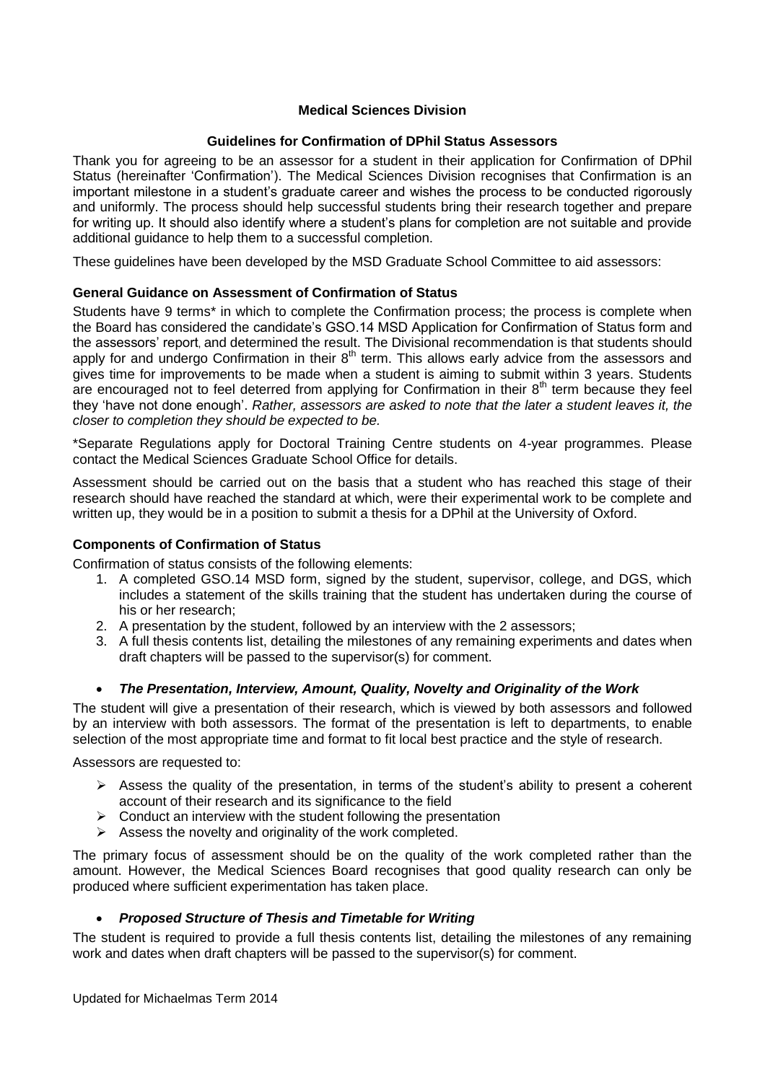# **Medical Sciences Division**

# **Guidelines for Confirmation of DPhil Status Assessors**

Thank you for agreeing to be an assessor for a student in their application for Confirmation of DPhil Status (hereinafter 'Confirmation'). The Medical Sciences Division recognises that Confirmation is an important milestone in a student's graduate career and wishes the process to be conducted rigorously and uniformly. The process should help successful students bring their research together and prepare for writing up. It should also identify where a student's plans for completion are not suitable and provide additional guidance to help them to a successful completion.

These guidelines have been developed by the MSD Graduate School Committee to aid assessors:

# **General Guidance on Assessment of Confirmation of Status**

Students have 9 terms\* in which to complete the Confirmation process; the process is complete when the Board has considered the candidate's GSO.14 MSD Application for Confirmation of Status form and the assessors' report, and determined the result. The Divisional recommendation is that students should apply for and undergo Confirmation in their  $8<sup>th</sup>$  term. This allows early advice from the assessors and gives time for improvements to be made when a student is aiming to submit within 3 years. Students are encouraged not to feel deterred from applying for Confirmation in their  $8<sup>th</sup>$  term because they feel they 'have not done enough'. *Rather, assessors are asked to note that the later a student leaves it, the closer to completion they should be expected to be.* 

\*Separate Regulations apply for Doctoral Training Centre students on 4-year programmes. Please contact the Medical Sciences Graduate School Office for details.

Assessment should be carried out on the basis that a student who has reached this stage of their research should have reached the standard at which, were their experimental work to be complete and written up, they would be in a position to submit a thesis for a DPhil at the University of Oxford.

## **Components of Confirmation of Status**

Confirmation of status consists of the following elements:

- 1. A completed GSO.14 MSD form, signed by the student, supervisor, college, and DGS, which includes a statement of the skills training that the student has undertaken during the course of his or her research;
- 2. A presentation by the student, followed by an interview with the 2 assessors;
- 3. A full thesis contents list, detailing the milestones of any remaining experiments and dates when draft chapters will be passed to the supervisor(s) for comment.

# *The Presentation, Interview, Amount, Quality, Novelty and Originality of the Work*

The student will give a presentation of their research, which is viewed by both assessors and followed by an interview with both assessors. The format of the presentation is left to departments, to enable selection of the most appropriate time and format to fit local best practice and the style of research.

Assessors are requested to:

- $\triangleright$  Assess the quality of the presentation, in terms of the student's ability to present a coherent account of their research and its significance to the field
- $\triangleright$  Conduct an interview with the student following the presentation
- $\triangleright$  Assess the novelty and originality of the work completed.

The primary focus of assessment should be on the quality of the work completed rather than the amount. However, the Medical Sciences Board recognises that good quality research can only be produced where sufficient experimentation has taken place.

## *Proposed Structure of Thesis and Timetable for Writing*

The student is required to provide a full thesis contents list, detailing the milestones of any remaining work and dates when draft chapters will be passed to the supervisor(s) for comment.

Updated for Michaelmas Term 2014